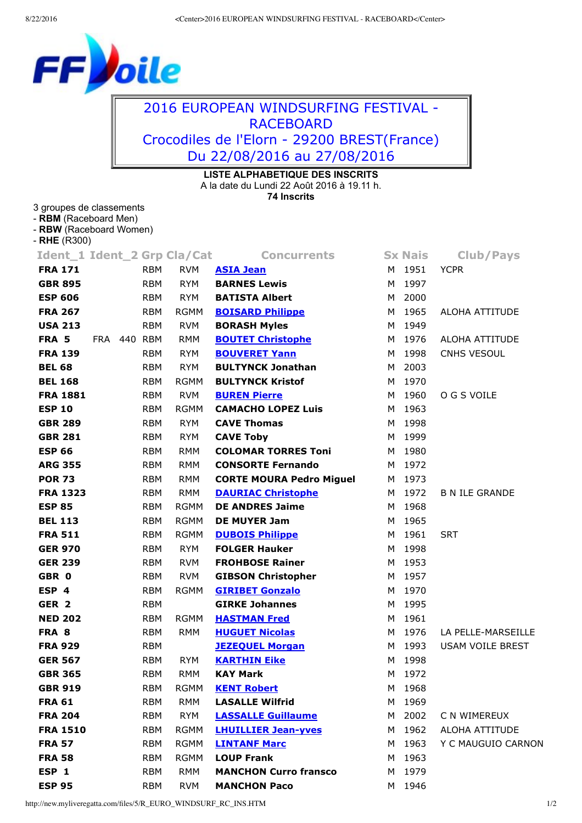## F oile

## 2016 EUROPEAN WINDSURFING FESTIVAL RACEBOARD Crocodiles de l'Elorn 29200 BREST(France) Du 22/08/2016 au 27/08/2016

## **LISTE ALPHABETIQUE DES INSCRITS**

A la date du Lundi 22 Août 2016 à 19.11 h.

**74 Inscrits**

## 3 groupes de classements

- **RBM** (Raceboard Men)
- **RBW** (Raceboard Women)
- **RHE** (R300)

| Ident_1 Ident_2 Grp Cla/Cat |             |            |             | <b>Concurrents</b>              | <b>Sx Nais</b> | <b>Club/Pays</b>      |
|-----------------------------|-------------|------------|-------------|---------------------------------|----------------|-----------------------|
| <b>FRA 171</b>              |             | <b>RBM</b> | <b>RVM</b>  | <b>ASIA Jean</b>                | M 1951         | <b>YCPR</b>           |
| <b>GBR 895</b>              |             | <b>RBM</b> | <b>RYM</b>  | <b>BARNES Lewis</b>             | M 1997         |                       |
| <b>ESP 606</b>              |             | RBM        | <b>RYM</b>  | <b>BATISTA Albert</b>           | M 2000         |                       |
| <b>FRA 267</b>              |             | <b>RBM</b> | <b>RGMM</b> | <b>BOISARD Philippe</b>         | M 1965         | ALOHA ATTITUDE        |
| <b>USA 213</b>              |             | <b>RBM</b> | <b>RVM</b>  | <b>BORASH Myles</b>             | M 1949         |                       |
| FRA 5                       | FRA 440 RBM |            | <b>RMM</b>  | <b>BOUTET Christophe</b>        | M 1976         | ALOHA ATTITUDE        |
| <b>FRA 139</b>              |             | <b>RBM</b> | <b>RYM</b>  | <b>BOUVERET Yann</b>            | M 1998         | CNHS VESOUL           |
| <b>BEL 68</b>               |             | RBM        | <b>RYM</b>  | <b>BULTYNCK Jonathan</b>        | M 2003         |                       |
| <b>BEL 168</b>              |             | <b>RBM</b> | <b>RGMM</b> | <b>BULTYNCK Kristof</b>         | M 1970         |                       |
| <b>FRA 1881</b>             |             | <b>RBM</b> | <b>RVM</b>  | <b>BUREN Pierre</b>             | M 1960         | O G S VOILE           |
| <b>ESP 10</b>               |             | <b>RBM</b> | RGMM        | <b>CAMACHO LOPEZ Luis</b>       | M 1963         |                       |
| <b>GBR 289</b>              |             | <b>RBM</b> | <b>RYM</b>  | <b>CAVE Thomas</b>              | M 1998         |                       |
| <b>GBR 281</b>              |             | RBM        | <b>RYM</b>  | <b>CAVE Toby</b>                | M 1999         |                       |
| <b>ESP 66</b>               |             | <b>RBM</b> | <b>RMM</b>  | <b>COLOMAR TORRES Toni</b>      | M 1980         |                       |
| <b>ARG 355</b>              |             | <b>RBM</b> | RMM         | <b>CONSORTE Fernando</b>        | M 1972         |                       |
| <b>POR 73</b>               |             | RBM        | RMM         | <b>CORTE MOURA Pedro Miguel</b> | M 1973         |                       |
| <b>FRA 1323</b>             |             | RBM        | <b>RMM</b>  | <b>DAURIAC Christophe</b>       | M 1972         | <b>B N ILE GRANDE</b> |
| <b>ESP 85</b>               |             | <b>RBM</b> | <b>RGMM</b> | <b>DE ANDRES Jaime</b>          | M 1968         |                       |
| <b>BEL 113</b>              |             | <b>RBM</b> | <b>RGMM</b> | <b>DE MUYER Jam</b>             | M 1965         |                       |
| <b>FRA 511</b>              |             | <b>RBM</b> | <b>RGMM</b> | <b>DUBOIS Philippe</b>          | M 1961         | <b>SRT</b>            |
| <b>GER 970</b>              |             | RBM        | <b>RYM</b>  | <b>FOLGER Hauker</b>            | M 1998         |                       |
| <b>GER 239</b>              |             | RBM        | <b>RVM</b>  | <b>FROHBOSE Rainer</b>          | M 1953         |                       |
| GBR 0                       |             | RBM        | RVM         | <b>GIBSON Christopher</b>       | M 1957         |                       |
| ESP 4                       |             | <b>RBM</b> | <b>RGMM</b> | <b>GIRIBET Gonzalo</b>          | M 1970         |                       |
| GER <sub>2</sub>            |             | <b>RBM</b> |             | <b>GIRKE Johannes</b>           | M 1995         |                       |
| <b>NED 202</b>              |             | <b>RBM</b> | <b>RGMM</b> | <b>HASTMAN Fred</b>             | M 1961         |                       |
| FRA 8                       |             | RBM        | <b>RMM</b>  | <b>HUGUET Nicolas</b>           | M 1976         | LA PELLE-MARSEILLE    |
| <b>FRA 929</b>              |             | RBM        |             | <b>JEZEQUEL Morgan</b>          | M 1993         | USAM VOILE BREST      |
| <b>GER 567</b>              |             | RBM        | <b>RYM</b>  | <b>KARTHIN Eike</b>             | M 1998         |                       |
| <b>GBR 365</b>              |             | <b>RBM</b> | <b>RMM</b>  | <b>KAY Mark</b>                 | M 1972         |                       |
| <b>GBR 919</b>              |             | RBM        | RGMM        | <b>KENT Robert</b>              | M 1968         |                       |
| <b>FRA 61</b>               |             | RBM        | RMM         | <b>LASALLE Wilfrid</b>          | M 1969         |                       |
| <b>FRA 204</b>              |             | <b>RBM</b> | <b>RYM</b>  | <b>LASSALLE Guillaume</b>       | M 2002         | C N WIMEREUX          |
| <b>FRA 1510</b>             |             | <b>RBM</b> | <b>RGMM</b> | <b>LHUILLIER Jean-yves</b>      | M 1962         | <b>ALOHA ATTITUDE</b> |
| <b>FRA 57</b>               |             | <b>RBM</b> | RGMM        | <b>LINTANF Marc</b>             | M 1963         | Y C MAUGUIO CARNON    |
| <b>FRA 58</b>               |             | <b>RBM</b> | RGMM        | <b>LOUP Frank</b>               | M 1963         |                       |
| ESP 1                       |             | <b>RBM</b> | RMM         | <b>MANCHON Curro fransco</b>    | M 1979         |                       |
| <b>ESP 95</b>               |             | <b>RBM</b> | <b>RVM</b>  | <b>MANCHON Paco</b>             | M 1946         |                       |
|                             |             |            |             |                                 |                |                       |